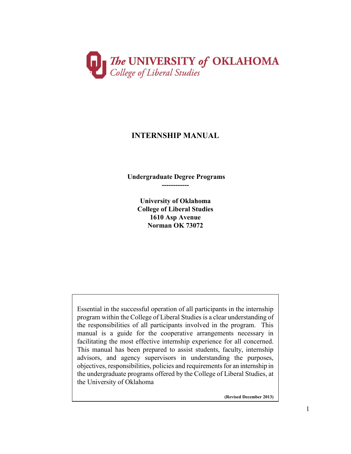

# **INTERNSHIP MANUAL**

**Undergraduate Degree Programs ------------**

> **University of Oklahoma College of Liberal Studies 1610 Asp Avenue Norman OK 73072**

Essential in the successful operation of all participants in the internship program within the College of Liberal Studies is a clear understanding of the responsibilities of all participants involved in the program. This manual is a guide for the cooperative arrangements necessary in facilitating the most effective internship experience for all concerned. This manual has been prepared to assist students, faculty, internship advisors, and agency supervisors in understanding the purposes, objectives, responsibilities, policies and requirements for an internship in the undergraduate programs offered by the College of Liberal Studies, at the University of Oklahoma

**(Revised December 2013)**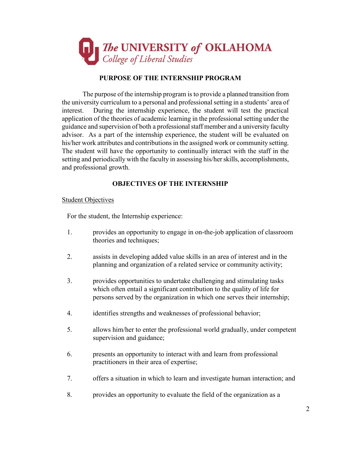

## **PURPOSE OF THE INTERNSHIP PROGRAM**

The purpose of the internship program is to provide a planned transition from the university curriculum to a personal and professional setting in a students' area of interest. During the internship experience, the student will test the practical application of the theories of academic learning in the professional setting under the guidance and supervision of both a professional staff member and a university faculty advisor. As a part of the internship experience, the student will be evaluated on his/her work attributes and contributions in the assigned work or community setting. The student will have the opportunity to continually interact with the staff in the setting and periodically with the faculty in assessing his/her skills, accomplishments, and professional growth.

## **OBJECTIVES OF THE INTERNSHIP**

#### **Student Objectives**

For the student, the Internship experience:

- 1. provides an opportunity to engage in on-the-job application of classroom theories and techniques;
- 2. assists in developing added value skills in an area of interest and in the planning and organization of a related service or community activity;
- 3. provides opportunities to undertake challenging and stimulating tasks which often entail a significant contribution to the quality of life for persons served by the organization in which one serves their internship;
- 4. identifies strengths and weaknesses of professional behavior;
- 5. allows him/her to enter the professional world gradually, under competent supervision and guidance;
- 6. presents an opportunity to interact with and learn from professional practitioners in their area of expertise;
- 7. offers a situation in which to learn and investigate human interaction; and
- 8. provides an opportunity to evaluate the field of the organization as a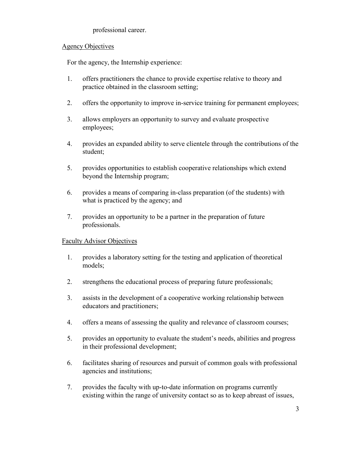## professional career.

## Agency Objectives

For the agency, the Internship experience:

- 1. offers practitioners the chance to provide expertise relative to theory and practice obtained in the classroom setting;
- 2. offers the opportunity to improve in-service training for permanent employees;
- 3. allows employers an opportunity to survey and evaluate prospective employees;
- 4. provides an expanded ability to serve clientele through the contributions of the student;
- 5. provides opportunities to establish cooperative relationships which extend beyond the Internship program;
- 6. provides a means of comparing in-class preparation (of the students) with what is practiced by the agency; and
- 7. provides an opportunity to be a partner in the preparation of future professionals.

## Faculty Advisor Objectives

- 1. provides a laboratory setting for the testing and application of theoretical models;
- 2. strengthens the educational process of preparing future professionals;
- 3. assists in the development of a cooperative working relationship between educators and practitioners;
- 4. offers a means of assessing the quality and relevance of classroom courses;
- 5. provides an opportunity to evaluate the student's needs, abilities and progress in their professional development;
- 6. facilitates sharing of resources and pursuit of common goals with professional agencies and institutions;
- 7. provides the faculty with up-to-date information on programs currently existing within the range of university contact so as to keep abreast of issues,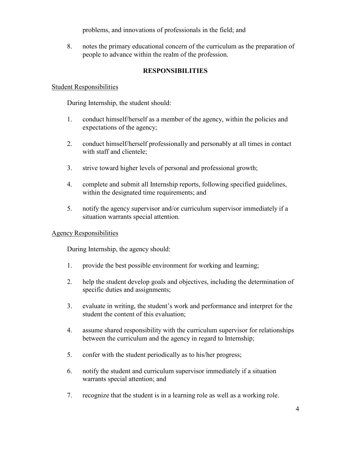problems, and innovations of professionals in the field; and

8. notes the primary educational concern of the curriculum as the preparation of people to advance within the realm of the profession.

# **RESPONSIBILITIES**

#### Student Responsibilities

During Internship, the student should:

- 1. conduct himself/herself as a member of the agency, within the policies and expectations of the agency;
- 2. conduct himself/herself professionally and personably at all times in contact with staff and clientele;
- 3. strive toward higher levels of personal and professional growth;
- 4. complete and submit all Internship reports, following specified guidelines, within the designated time requirements; and
- 5. notify the agency supervisor and/or curriculum supervisor immediately if a situation warrants special attention.

## Agency Responsibilities

During Internship, the agency should:

- 1. provide the best possible environment for working and learning;
- 2. help the student develop goals and objectives, including the determination of specific duties and assignments;
- 3. evaluate in writing, the student's work and performance and interpret for the student the content of this evaluation;
- 4. assume shared responsibility with the curriculum supervisor for relationships between the curriculum and the agency in regard to Internship;
- 5. confer with the student periodically as to his/her progress;
- 6. notify the student and curriculum supervisor immediately if a situation warrants special attention; and
- 7. recognize that the student is in a learning role as well as a working role.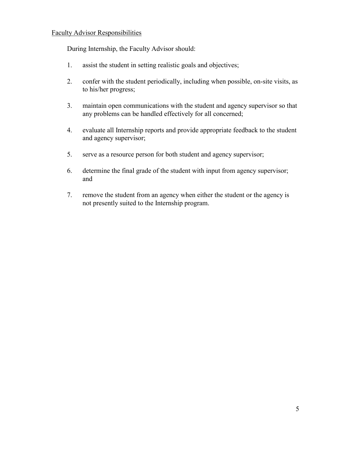#### Faculty Advisor Responsibilities

During Internship, the Faculty Advisor should:

- 1. assist the student in setting realistic goals and objectives;
- 2. confer with the student periodically, including when possible, on-site visits, as to his/her progress;
- 3. maintain open communications with the student and agency supervisor so that any problems can be handled effectively for all concerned;
- 4. evaluate all Internship reports and provide appropriate feedback to the student and agency supervisor;
- 5. serve as a resource person for both student and agency supervisor;
- 6. determine the final grade of the student with input from agency supervisor; and
- 7. remove the student from an agency when either the student or the agency is not presently suited to the Internship program.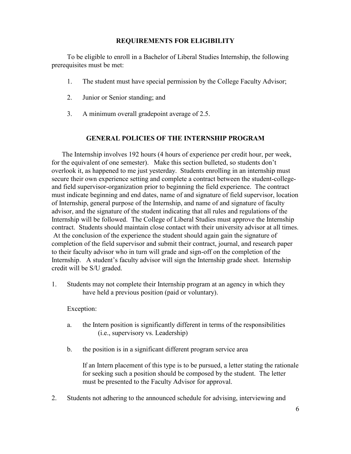#### **REQUIREMENTS FOR ELIGIBILITY**

To be eligible to enroll in a Bachelor of Liberal Studies Internship, the following prerequisites must be met:

- 1. The student must have special permission by the College Faculty Advisor;
- 2. Junior or Senior standing; and
- 3. A minimum overall gradepoint average of 2.5.

#### **GENERAL POLICIES OF THE INTERNSHIP PROGRAM**

The Internship involves 192 hours (4 hours of experience per credit hour, per week, for the equivalent of one semester). Make this section bulleted, so students don't overlook it, as happened to me just yesterday. Students enrolling in an internship must secure their own experience setting and complete a contract between the student-collegeand field supervisor-organization prior to beginning the field experience. The contract must indicate beginning and end dates, name of and signature of field supervisor, location of Internship, general purpose of the Internship, and name of and signature of faculty advisor, and the signature of the student indicating that all rules and regulations of the Internship will be followed. The College of Liberal Studies must approve the Internship contract. Students should maintain close contact with their university advisor at all times. At the conclusion of the experience the student should again gain the signature of completion of the field supervisor and submit their contract, journal, and research paper to their faculty advisor who in turn will grade and sign-off on the completion of the Internship. A student's faculty advisor will sign the Internship grade sheet. Internship credit will be S/U graded.

1. Students may not complete their Internship program at an agency in which they have held a previous position (paid or voluntary).

Exception:

- a. the Intern position is significantly different in terms of the responsibilities (i.e., supervisory vs. Leadership)
- b. the position is in a significant different program service area

If an Intern placement of this type is to be pursued, a letter stating the rationale for seeking such a position should be composed by the student. The letter must be presented to the Faculty Advisor for approval.

2. Students not adhering to the announced schedule for advising, interviewing and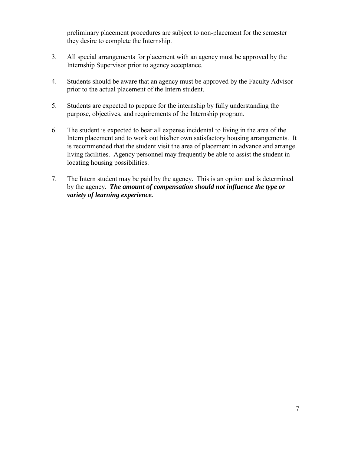preliminary placement procedures are subject to non-placement for the semester they desire to complete the Internship.

- 3. All special arrangements for placement with an agency must be approved by the Internship Supervisor prior to agency acceptance.
- 4. Students should be aware that an agency must be approved by the Faculty Advisor prior to the actual placement of the Intern student.
- 5. Students are expected to prepare for the internship by fully understanding the purpose, objectives, and requirements of the Internship program.
- 6. The student is expected to bear all expense incidental to living in the area of the Intern placement and to work out his/her own satisfactory housing arrangements. It is recommended that the student visit the area of placement in advance and arrange living facilities. Agency personnel may frequently be able to assist the student in locating housing possibilities.
- 7. The Intern student may be paid by the agency. This is an option and is determined by the agency. *The amount of compensation should not influence the type or variety of learning experience.*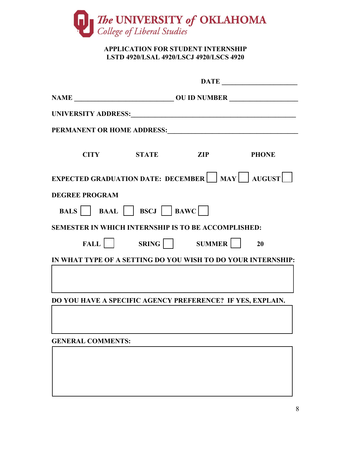

# **APPLICATION FOR STUDENT INTERNSHIP LSTD 4920/LSAL 4920/LSCJ 4920/LSCS 4920**

|                                                                    |                      |  | DATE |  |  |
|--------------------------------------------------------------------|----------------------|--|------|--|--|
|                                                                    |                      |  |      |  |  |
| UNIVERSITY ADDRESS: UNIVERSITY ADDRESS:                            |                      |  |      |  |  |
| PERMANENT OR HOME ADDRESS:                                         |                      |  |      |  |  |
|                                                                    | CITY STATE ZIP PHONE |  |      |  |  |
| EXPECTED GRADUATION DATE: DECEMBER $\Box$ MAY $\Box$ AUGUST $\Box$ |                      |  |      |  |  |
| <b>DEGREE PROGRAM</b>                                              |                      |  |      |  |  |
| <b>BALS BAAL BSCJ BAWC</b>                                         |                      |  |      |  |  |
| <b>SEMESTER IN WHICH INTERNSHIP IS TO BE ACCOMPLISHED:</b>         |                      |  |      |  |  |
|                                                                    | FALL SRING SUMMER 20 |  |      |  |  |
| IN WHAT TYPE OF A SETTING DO YOU WISH TO DO YOUR INTERNSHIP:       |                      |  |      |  |  |
|                                                                    |                      |  |      |  |  |
| DO YOU HAVE A SPECIFIC AGENCY PREFERENCE? IF YES, EXPLAIN.         |                      |  |      |  |  |
| <b>GENERAL COMMENTS:</b>                                           |                      |  |      |  |  |
|                                                                    |                      |  |      |  |  |
|                                                                    |                      |  |      |  |  |
|                                                                    |                      |  |      |  |  |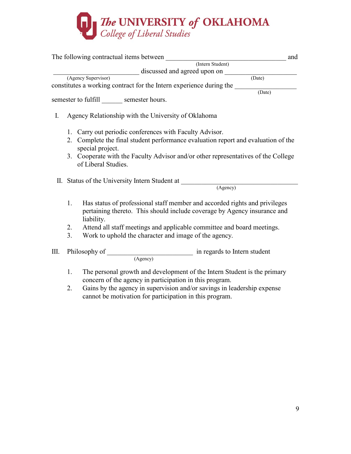

|             |                | The following contractual items between                                                                                                                              | and |
|-------------|----------------|----------------------------------------------------------------------------------------------------------------------------------------------------------------------|-----|
|             |                | (Intern Student)                                                                                                                                                     |     |
|             |                | discussed and agreed upon on (Date)                                                                                                                                  |     |
|             |                | (Agency Supervisor)                                                                                                                                                  |     |
|             |                | constitutes a working contract for the Intern experience during the<br>$\overline{(Date)}$                                                                           |     |
|             |                |                                                                                                                                                                      |     |
|             |                | semester to fulfill semester hours.                                                                                                                                  |     |
| $I_{\cdot}$ |                | Agency Relationship with the University of Oklahoma                                                                                                                  |     |
|             |                | 1. Carry out periodic conferences with Faculty Advisor.                                                                                                              |     |
|             | 2.             | Complete the final student performance evaluation report and evaluation of the<br>special project.                                                                   |     |
|             |                | 3. Cooperate with the Faculty Advisor and/or other representatives of the College<br>of Liberal Studies.                                                             |     |
|             |                | II. Status of the University Intern Student at                                                                                                                       |     |
|             |                | (Agency)                                                                                                                                                             |     |
|             | 1.             | Has status of professional staff member and accorded rights and privileges<br>pertaining thereto. This should include coverage by Agency insurance and<br>liability. |     |
|             | 2.             | Attend all staff meetings and applicable committee and board meetings.                                                                                               |     |
|             | 3 <sub>1</sub> | Work to uphold the character and image of the agency.                                                                                                                |     |
| III.        |                | Philosophy of <u>(Agency</u> ) in regards to Intern student                                                                                                          |     |
|             | 1.             | The personal growth and development of the Intern Student is the primary<br>concern of the agency in participation in this program.                                  |     |
|             | 2.             | Gains by the agency in supervision and/or savings in leadership expense                                                                                              |     |

cannot be motivation for participation in this program.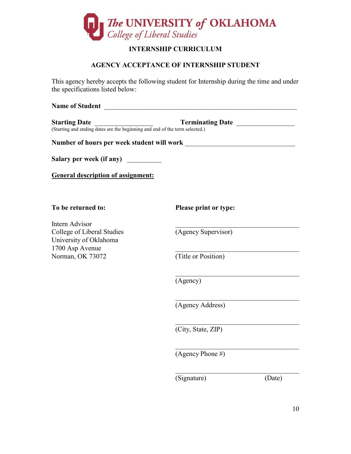

# **INTERNSHIP CURRICULUM**

# **AGENCY ACCEPTANCE OF INTERNSHIP STUDENT**

This agency hereby accepts the following student for Internship during the time and under the specifications listed below:

| <b>Name of Student</b>                                                                                                                                      |                       |  |  |  |  |
|-------------------------------------------------------------------------------------------------------------------------------------------------------------|-----------------------|--|--|--|--|
| <b>Starting Date</b><br><b>Terminating Date</b><br><b>Starting Date Termina</b> (Starting and ending dates are the beginning and end of the term selected.) |                       |  |  |  |  |
|                                                                                                                                                             |                       |  |  |  |  |
| Salary per week (if any)                                                                                                                                    |                       |  |  |  |  |
| <b>General description of assignment:</b>                                                                                                                   |                       |  |  |  |  |
| To be returned to:                                                                                                                                          | Please print or type: |  |  |  |  |
| Intern Advisor<br>College of Liberal Studies<br>University of Oklahoma                                                                                      | (Agency Supervisor)   |  |  |  |  |
| 1700 Asp Avenue<br>Norman, OK 73072                                                                                                                         | (Title or Position)   |  |  |  |  |
|                                                                                                                                                             | (Agency)              |  |  |  |  |
|                                                                                                                                                             | (Agency Address)      |  |  |  |  |
|                                                                                                                                                             | (City, State, ZIP)    |  |  |  |  |
|                                                                                                                                                             | (Agency Phone $#$ )   |  |  |  |  |
|                                                                                                                                                             | (Signature)<br>(Date) |  |  |  |  |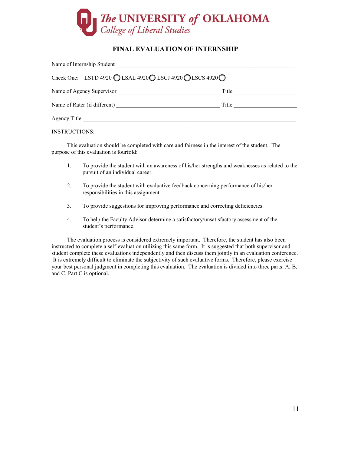

## **FINAL EVALUATION OF INTERNSHIP**

| Name of Internship Student                                                                     |       |  |  |  |
|------------------------------------------------------------------------------------------------|-------|--|--|--|
| Check One: LSTD 4920 $\bigcirc$ LSAL 4920 $\bigcirc$ LSCJ 4920 $\bigcirc$ LSCS 4920 $\bigcirc$ |       |  |  |  |
| Name of Agency Supervisor                                                                      | Title |  |  |  |
| Name of Rater (if different)                                                                   | Title |  |  |  |
| Agency Title                                                                                   |       |  |  |  |

INSTRUCTIONS:

This evaluation should be completed with care and fairness in the interest of the student. The purpose of this evaluation is fourfold:

- 1. To provide the student with an awareness of his/her strengths and weaknesses as related to the pursuit of an individual career.
- 2. To provide the student with evaluative feedback concerning performance of his/her responsibilities in this assignment.
- 3. To provide suggestions for improving performance and correcting deficiencies.
- 4. To help the Faculty Advisor determine a satisfactory/unsatisfactory assessment of the student's performance.

The evaluation process is considered extremely important. Therefore, the student has also been instructed to complete a self-evaluation utilizing this same form. It is suggested that both supervisor and student complete these evaluations independently and then discuss them jointly in an evaluation conference. It is extremely difficult to eliminate the subjectivity of such evaluative forms. Therefore, please exercise your best personal judgment in completing this evaluation. The evaluation is divided into three parts: A, B, and C. Part C is optional.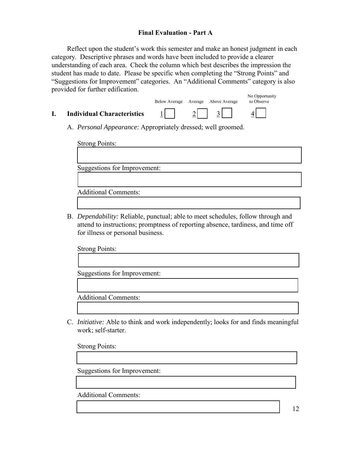#### **Final Evaluation - Part A**

Reflect upon the student's work this semester and make an honest judgment in each category. Descriptive phrases and words have been included to provide a clearer understanding of each area. Check the column which best describes the impression the student has made to date. Please be specific when completing the "Strong Points" and "Suggestions for Improvement" categories. An "Additional Comments" category is also provided for further edification.

- No Opportunity Below Average Average Above Average **I.** Individual Characteristics 1 | 2 | 3
	- A. *Personal Appearance*: Appropriately dressed; well groomed.

Strong Points: Suggestions for Improvement: Additional Comments:

B. *Dependability:* Reliable, punctual; able to meet schedules, follow through and attend to instructions; promptness of reporting absence, tardiness, and time off for illness or personal business.

Strong Points:

Suggestions for Improvement:

Additional Comments:

C. *Initiative:* Able to think and work independently; looks for and finds meaningful work; self-starter.

Strong Points:

Suggestions for Improvement:

Additional Comments:

12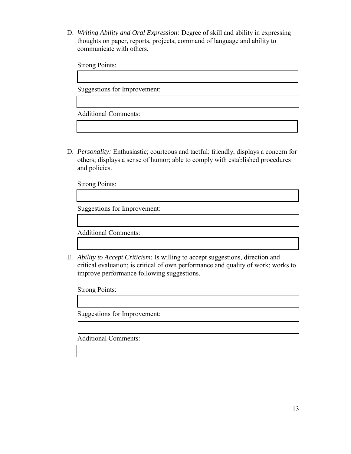D. *Writing Ability and Oral Expression:* Degree of skill and ability in expressing thoughts on paper, reports, projects, command of language and ability to communicate with others.

Strong Points:

Suggestions for Improvement:

Additional Comments:

D. *Personality:* Enthusiastic; courteous and tactful; friendly; displays a concern for others; displays a sense of humor; able to comply with established procedures and policies.

Strong Points:

Suggestions for Improvement:

Additional Comments:

E. *Ability to Accept Criticism:* Is willing to accept suggestions, direction and critical evaluation; is critical of own performance and quality of work; works to improve performance following suggestions.

Strong Points:

Suggestions for Improvement:

Additional Comments: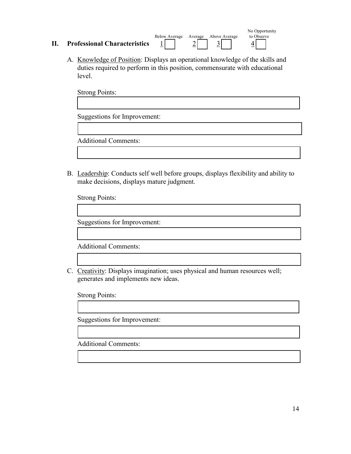|                                     |                           |         |               | No Opportunity |
|-------------------------------------|---------------------------|---------|---------------|----------------|
| <b>Professional Characteristics</b> | <b>Below Average</b><br>_ | Average | Above Average | to Observe     |

A. Knowledge of Position: Displays an operational knowledge of the skills and duties required to perform in this position, commensurate with educational level.

Strong Points: Suggestions for Improvement:

Additional Comments:

B. Leadership: Conducts self well before groups, displays flexibility and ability to make decisions, displays mature judgment.

Strong Points:

Suggestions for Improvement:

Additional Comments:

C. Creativity: Displays imagination; uses physical and human resources well; generates and implements new ideas.

Strong Points:

Suggestions for Improvement:

Additional Comments: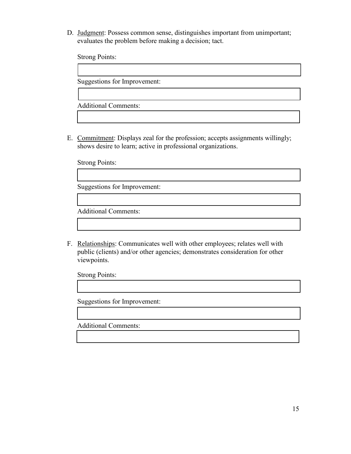D. Judgment: Possess common sense, distinguishes important from unimportant; evaluates the problem before making a decision; tact.

Strong Points:

Suggestions for Improvement:

Additional Comments:

E. Commitment: Displays zeal for the profession; accepts assignments willingly; shows desire to learn; active in professional organizations.

Strong Points:

Suggestions for Improvement:

Additional Comments:

F. Relationships: Communicates well with other employees; relates well with public (clients) and/or other agencies; demonstrates consideration for other viewpoints.

Strong Points:

Suggestions for Improvement:

Additional Comments: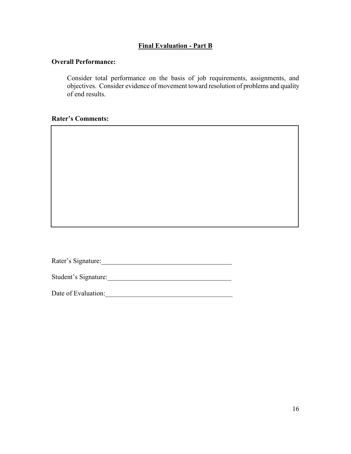## **Final Evaluation - Part B**

#### **Overall Performance:**

Consider total performance on the basis of job requirements, assignments, and objectives. Consider evidence of movement toward resolution of problems and quality of end results.

#### **Rater's Comments:**

Rater's Signature:\_\_\_\_\_\_\_\_\_\_\_\_\_\_\_\_\_\_\_\_\_\_\_\_\_\_\_\_\_\_\_\_\_\_\_\_\_\_

Student's Signature:\_\_\_\_\_\_\_\_\_\_\_\_\_\_\_\_\_\_\_\_\_\_\_\_\_\_\_\_\_\_\_\_\_\_\_\_

Date of Evaluation:\_\_\_\_\_\_\_\_\_\_\_\_\_\_\_\_\_\_\_\_\_\_\_\_\_\_\_\_\_\_\_\_\_\_\_\_\_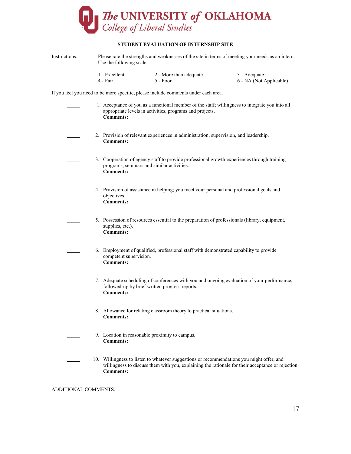

#### **STUDENT EVALUATION OF INTERNSHIP SITE**

| Instructions: | Please rate the strengths and weaknesses of the site in terms of meeting your needs as an intern.<br>Use the following scale:                                                                                      |                                                                                                                                                              |                                                |                                                                                            |  |  |  |  |
|---------------|--------------------------------------------------------------------------------------------------------------------------------------------------------------------------------------------------------------------|--------------------------------------------------------------------------------------------------------------------------------------------------------------|------------------------------------------------|--------------------------------------------------------------------------------------------|--|--|--|--|
|               | 4 - Fair                                                                                                                                                                                                           | 1 - Excellent                                                                                                                                                | 2 - More than adequate<br>5 - Poor             | 3 - Adequate<br>6 - NA (Not Applicable)                                                    |  |  |  |  |
|               | If you feel you need to be more specific, please include comments under each area.                                                                                                                                 |                                                                                                                                                              |                                                |                                                                                            |  |  |  |  |
|               | 1. Acceptance of you as a functional member of the staff; willingness to integrate you into all<br>appropriate levels in activities, programs and projects.<br><b>Comments:</b>                                    |                                                                                                                                                              |                                                |                                                                                            |  |  |  |  |
|               |                                                                                                                                                                                                                    | 2. Provision of relevant experiences in administration, supervision, and leadership.<br><b>Comments:</b>                                                     |                                                |                                                                                            |  |  |  |  |
|               |                                                                                                                                                                                                                    | 3. Cooperation of agency staff to provide professional growth experiences through training<br>programs, seminars and similar activities.<br><b>Comments:</b> |                                                |                                                                                            |  |  |  |  |
|               |                                                                                                                                                                                                                    | 4. Provision of assistance in helping; you meet your personal and professional goals and<br>objectives.<br><b>Comments:</b>                                  |                                                |                                                                                            |  |  |  |  |
|               |                                                                                                                                                                                                                    | 5. Possession of resources essential to the preparation of professionals (library, equipment,<br>supplies, etc.).<br><b>Comments:</b>                        |                                                |                                                                                            |  |  |  |  |
|               |                                                                                                                                                                                                                    | 6. Employment of qualified, professional staff with demonstrated capability to provide<br>competent supervision.<br><b>Comments:</b>                         |                                                |                                                                                            |  |  |  |  |
|               |                                                                                                                                                                                                                    | <b>Comments:</b>                                                                                                                                             | followed-up by brief written progress reports. | 7. Adequate scheduling of conferences with you and ongoing evaluation of your performance, |  |  |  |  |
|               |                                                                                                                                                                                                                    | 8. Allowance for relating classroom theory to practical situations.<br><b>Comments:</b>                                                                      |                                                |                                                                                            |  |  |  |  |
|               |                                                                                                                                                                                                                    | 9. Location in reasonable proximity to campus.<br><b>Comments:</b>                                                                                           |                                                |                                                                                            |  |  |  |  |
|               | 10. Willingness to listen to whatever suggestions or recommendations you might offer, and<br>willingness to discuss them with you, explaining the rationale for their acceptance or rejection.<br><b>Comments:</b> |                                                                                                                                                              |                                                |                                                                                            |  |  |  |  |

ADDITIONAL COMMENTS: